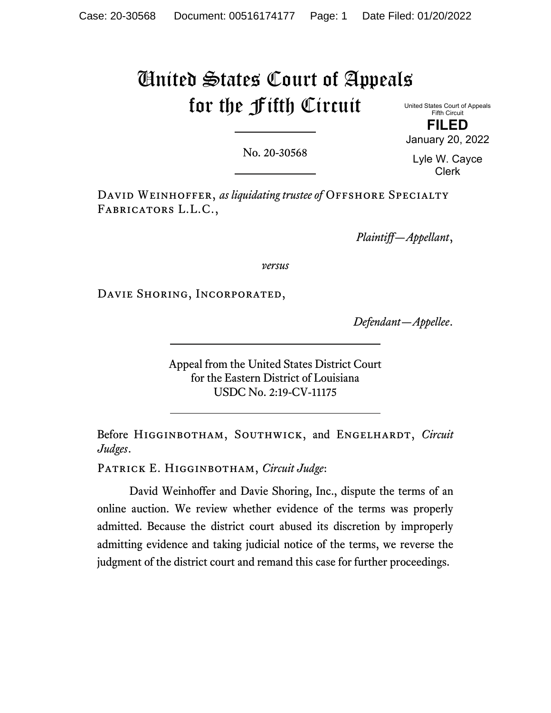# United States Court of Appeals for the Fifth Circuit

United States Court of Appeals Fifth Circuit **FILED**

January 20, 2022

No. 20-30568

Lyle W. Cayce Clerk

DAVID WEINHOFFER, *as liquidating trustee of* OFFSHORE SPECIALTY Fabricators L.L.C.,

*Plaintiff—Appellant*,

*versus*

Davie Shoring, Incorporated,

*Defendant—Appellee*.

Appeal from the United States District Court for the Eastern District of Louisiana USDC No. 2:19-CV-11175

Before HIGGINBOTHAM, SOUTHWICK, and ENGELHARDT, *Circuit Judges*.

Patrick E. Higginbotham, *Circuit Judge*:

David Weinhoffer and Davie Shoring, Inc., dispute the terms of an online auction. We review whether evidence of the terms was properly admitted. Because the district court abused its discretion by improperly admitting evidence and taking judicial notice of the terms, we reverse the judgment of the district court and remand this case for further proceedings.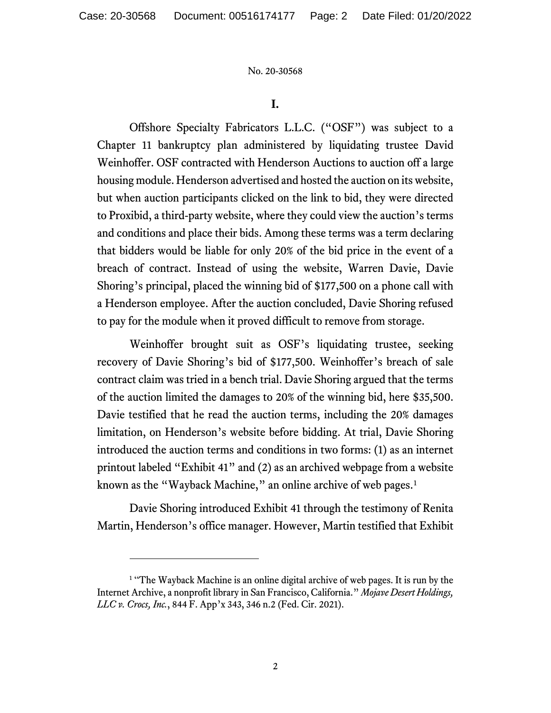## **I.**

Offshore Specialty Fabricators L.L.C. ("OSF") was subject to a Chapter 11 bankruptcy plan administered by liquidating trustee David Weinhoffer. OSF contracted with Henderson Auctions to auction off a large housing module. Henderson advertised and hosted the auction on its website, but when auction participants clicked on the link to bid, they were directed to Proxibid, a third-party website, where they could view the auction's terms and conditions and place their bids. Among these terms was a term declaring that bidders would be liable for only 20% of the bid price in the event of a breach of contract. Instead of using the website, Warren Davie, Davie Shoring's principal, placed the winning bid of \$177,500 on a phone call with a Henderson employee. After the auction concluded, Davie Shoring refused to pay for the module when it proved difficult to remove from storage.

Weinhoffer brought suit as OSF's liquidating trustee, seeking recovery of Davie Shoring's bid of \$177,500. Weinhoffer's breach of sale contract claim was tried in a bench trial. Davie Shoring argued that the terms of the auction limited the damages to 20% of the winning bid, here \$35,500. Davie testified that he read the auction terms, including the 20% damages limitation, on Henderson's website before bidding. At trial, Davie Shoring introduced the auction terms and conditions in two forms: (1) as an internet printout labeled "Exhibit 41" and (2) as an archived webpage from a website known as the "Wayback Machine," an online archive of web pages.<sup>[1](#page-1-0)</sup>

Davie Shoring introduced Exhibit 41 through the testimony of Renita Martin, Henderson's office manager. However, Martin testified that Exhibit

<span id="page-1-0"></span><sup>&</sup>lt;sup>1</sup> "The Wayback Machine is an online digital archive of web pages. It is run by the Internet Archive, a nonprofit library in San Francisco, California." *Mojave Desert Holdings, LLC v. Crocs, Inc.*, 844 F. App'x 343, 346 n.2 (Fed. Cir. 2021).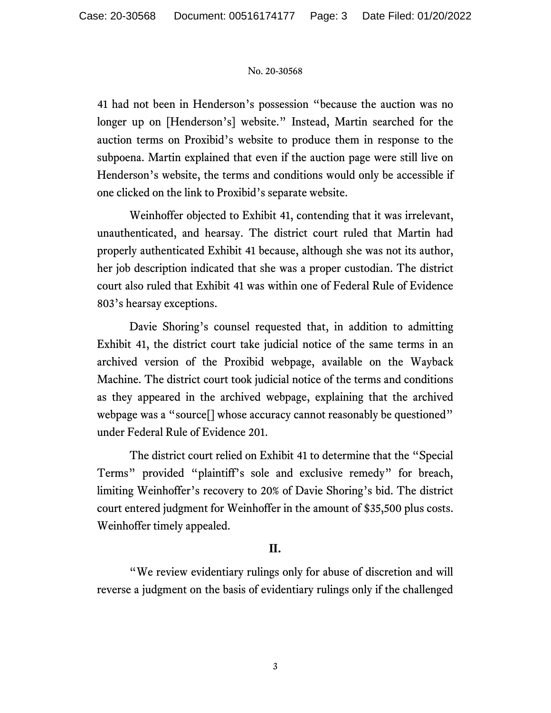41 had not been in Henderson's possession "because the auction was no longer up on [Henderson's] website." Instead, Martin searched for the auction terms on Proxibid's website to produce them in response to the subpoena. Martin explained that even if the auction page were still live on Henderson's website, the terms and conditions would only be accessible if one clicked on the link to Proxibid's separate website.

Weinhoffer objected to Exhibit 41, contending that it was irrelevant, unauthenticated, and hearsay. The district court ruled that Martin had properly authenticated Exhibit 41 because, although she was not its author, her job description indicated that she was a proper custodian. The district court also ruled that Exhibit 41 was within one of Federal Rule of Evidence 803's hearsay exceptions.

Davie Shoring's counsel requested that, in addition to admitting Exhibit 41, the district court take judicial notice of the same terms in an archived version of the Proxibid webpage, available on the Wayback Machine. The district court took judicial notice of the terms and conditions as they appeared in the archived webpage, explaining that the archived webpage was a "source<sup>[]</sup> whose accuracy cannot reasonably be questioned" under Federal Rule of Evidence 201.

The district court relied on Exhibit 41 to determine that the "Special Terms" provided "plaintiff's sole and exclusive remedy" for breach, limiting Weinhoffer's recovery to 20% of Davie Shoring's bid. The district court entered judgment for Weinhoffer in the amount of \$35,500 plus costs. Weinhoffer timely appealed.

## **II.**

"We review evidentiary rulings only for abuse of discretion and will reverse a judgment on the basis of evidentiary rulings only if the challenged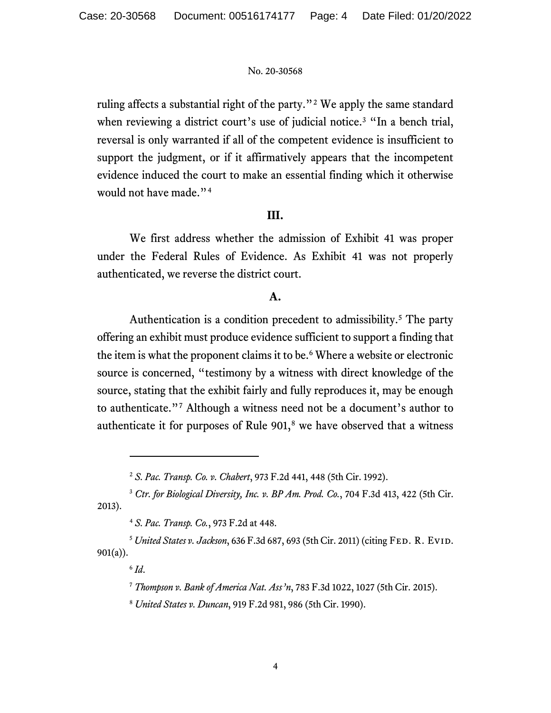ruling affects a substantial right of the party."[2](#page-3-0) We apply the same standard when reviewing a district court's use of judicial notice.<sup>[3](#page-3-1)</sup> "In a bench trial, reversal is only warranted if all of the competent evidence is insufficient to support the judgment, or if it affirmatively appears that the incompetent evidence induced the court to make an essential finding which it otherwise would not have made."<sup>[4](#page-3-2)</sup>

## **III.**

We first address whether the admission of Exhibit 41 was proper under the Federal Rules of Evidence. As Exhibit 41 was not properly authenticated, we reverse the district court.

# **A.**

Authentication is a condition precedent to admissibility. [5](#page-3-3) The party offering an exhibit must produce evidence sufficient to support a finding that the item is what the proponent claims it to be. [6](#page-3-4) Where a website or electronic source is concerned, "testimony by a witness with direct knowledge of the source, stating that the exhibit fairly and fully reproduces it, may be enough to authenticate."[7](#page-3-5) Although a witness need not be a document's author to authenticate it for purposes of Rule  $901$ ,<sup>[8](#page-3-6)</sup> we have observed that a witness

<sup>2</sup> *S. Pac. Transp. Co. v. Chabert*, 973 F.2d 441, 448 (5th Cir. 1992).

<span id="page-3-1"></span><span id="page-3-0"></span><sup>3</sup> *Ctr. for Biological Diversity, Inc. v. BP Am. Prod. Co.*, 704 F.3d 413, 422 (5th Cir. 2013).

<sup>4</sup> *S. Pac. Transp. Co.*, 973 F.2d at 448.

<span id="page-3-6"></span><span id="page-3-5"></span><span id="page-3-4"></span><span id="page-3-3"></span><span id="page-3-2"></span><sup>&</sup>lt;sup>5</sup> United States v. Jackson, 636 F.3d 687, 693 (5th Cir. 2011) (citing FED. R. EVID. 901(a)).

<sup>6</sup> *Id*.

<sup>7</sup> *Thompson v. Bank of America Nat. Ass'n*, 783 F.3d 1022, 1027 (5th Cir. 2015).

<sup>8</sup> *United States v. Duncan*, 919 F.2d 981, 986 (5th Cir. 1990).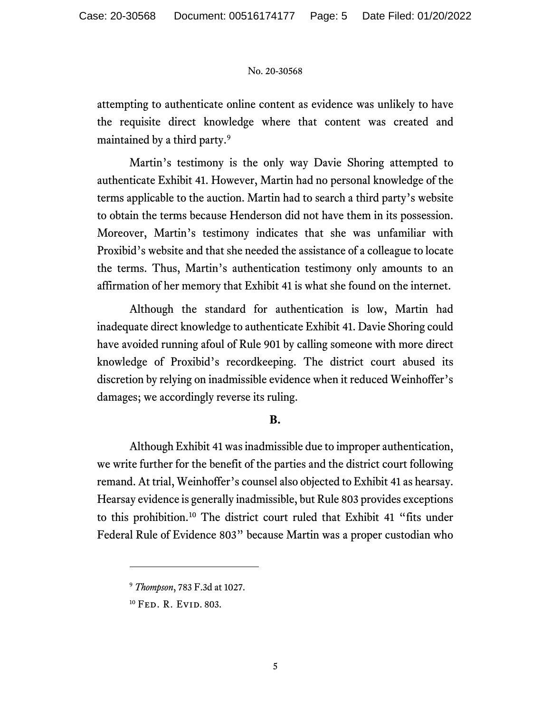attempting to authenticate online content as evidence was unlikely to have the requisite direct knowledge where that content was created and maintained by a third party.[9](#page-4-0)

Martin's testimony is the only way Davie Shoring attempted to authenticate Exhibit 41. However, Martin had no personal knowledge of the terms applicable to the auction. Martin had to search a third party's website to obtain the terms because Henderson did not have them in its possession. Moreover, Martin's testimony indicates that she was unfamiliar with Proxibid's website and that she needed the assistance of a colleague to locate the terms. Thus, Martin's authentication testimony only amounts to an affirmation of her memory that Exhibit 41 is what she found on the internet.

Although the standard for authentication is low, Martin had inadequate direct knowledge to authenticate Exhibit 41. Davie Shoring could have avoided running afoul of Rule 901 by calling someone with more direct knowledge of Proxibid's recordkeeping. The district court abused its discretion by relying on inadmissible evidence when it reduced Weinhoffer's damages; we accordingly reverse its ruling.

# **B.**

Although Exhibit 41 was inadmissible due to improper authentication, we write further for the benefit of the parties and the district court following remand. At trial, Weinhoffer's counsel also objected to Exhibit 41 as hearsay. Hearsay evidence is generally inadmissible, but Rule 803 provides exceptions to this prohibition.[10](#page-4-1) The district court ruled that Exhibit 41 "fits under Federal Rule of Evidence 803" because Martin was a proper custodian who

<span id="page-4-0"></span><sup>9</sup> *Thompson*, 783 F.3d at 1027.

<span id="page-4-1"></span><sup>10</sup> Fed. R. Evid. 803.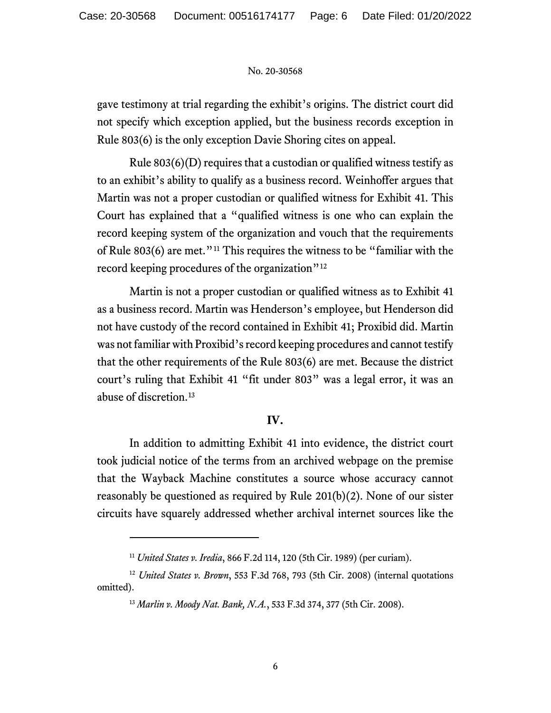gave testimony at trial regarding the exhibit's origins. The district court did not specify which exception applied, but the business records exception in Rule 803(6) is the only exception Davie Shoring cites on appeal.

Rule 803(6)(D) requires that a custodian or qualified witness testify as to an exhibit's ability to qualify as a business record. Weinhoffer argues that Martin was not a proper custodian or qualified witness for Exhibit 41. This Court has explained that a "qualified witness is one who can explain the record keeping system of the organization and vouch that the requirements of Rule 803(6) are met."[11](#page-5-0) This requires the witness to be "familiar with the record keeping procedures of the organization"<sup>[12](#page-5-1)</sup>

Martin is not a proper custodian or qualified witness as to Exhibit 41 as a business record. Martin was Henderson's employee, but Henderson did not have custody of the record contained in Exhibit 41; Proxibid did. Martin was not familiar with Proxibid's record keeping procedures and cannot testify that the other requirements of the Rule 803(6) are met. Because the district court's ruling that Exhibit 41 "fit under 803" was a legal error, it was an abuse of discretion.[13](#page-5-2)

# **IV.**

In addition to admitting Exhibit 41 into evidence, the district court took judicial notice of the terms from an archived webpage on the premise that the Wayback Machine constitutes a source whose accuracy cannot reasonably be questioned as required by Rule 201(b)(2). None of our sister circuits have squarely addressed whether archival internet sources like the

<sup>11</sup> *United States v. Iredia*, 866 F.2d 114, 120 (5th Cir. 1989) (per curiam).

<span id="page-5-2"></span><span id="page-5-1"></span><span id="page-5-0"></span><sup>12</sup> *United States v. Brown*, 553 F.3d 768, 793 (5th Cir. 2008) (internal quotations omitted).

<sup>13</sup> *Marlin v. Moody Nat. Bank, N.A.*, 533 F.3d 374, 377 (5th Cir. 2008).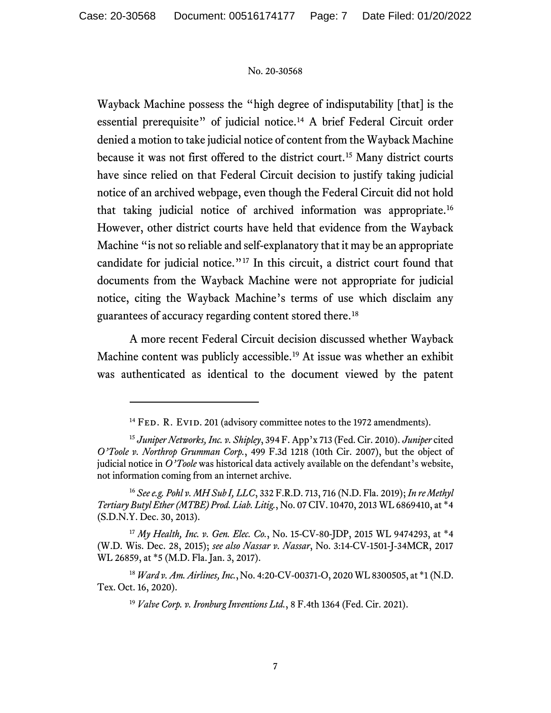Wayback Machine possess the "high degree of indisputability [that] is the essential prerequisite" of judicial notice.<sup>[14](#page-6-0)</sup> A brief Federal Circuit order denied a motion to take judicial notice of content from the Wayback Machine because it was not first offered to the district court.[15](#page-6-1) Many district courts have since relied on that Federal Circuit decision to justify taking judicial notice of an archived webpage, even though the Federal Circuit did not hold that taking judicial notice of archived information was appropriate. [16](#page-6-2) However, other district courts have held that evidence from the Wayback Machine "is not so reliable and self-explanatory that it may be an appropriate candidate for judicial notice."[17](#page-6-3) In this circuit, a district court found that documents from the Wayback Machine were not appropriate for judicial notice, citing the Wayback Machine's terms of use which disclaim any guarantees of accuracy regarding content stored there.<sup>[18](#page-6-4)</sup>

A more recent Federal Circuit decision discussed whether Wayback Machine content was publicly accessible. [19](#page-6-5) At issue was whether an exhibit was authenticated as identical to the document viewed by the patent

<sup>&</sup>lt;sup>14</sup> FED. R. EVID. 201 (advisory committee notes to the 1972 amendments).

<span id="page-6-1"></span><span id="page-6-0"></span><sup>15</sup> *Juniper Networks, Inc. v. Shipley*, 394 F. App'x 713 (Fed. Cir. 2010). *Juniper* cited *O'Toole v. Northrop Grumman Corp.*, 499 F.3d 1218 (10th Cir. 2007), but the object of judicial notice in *O'Toole* was historical data actively available on the defendant's website, not information coming from an internet archive.

<span id="page-6-2"></span><sup>16</sup> *See e.g. Pohl v. MH Sub I, LLC*, 332 F.R.D. 713, 716 (N.D. Fla. 2019); *In re Methyl Tertiary Butyl Ether (MTBE) Prod. Liab. Litig.*, No. 07 CIV. 10470, 2013 WL 6869410, at \*4 (S.D.N.Y. Dec. 30, 2013).

<span id="page-6-3"></span><sup>17</sup> *My Health, Inc. v. Gen. Elec. Co.*, No. 15-CV-80-JDP, 2015 WL 9474293, at \*4 (W.D. Wis. Dec. 28, 2015); *see also Nassar v. Nassar*, No. 3:14-CV-1501-J-34MCR, 2017 WL 26859, at \*5 (M.D. Fla. Jan. 3, 2017).

<span id="page-6-5"></span><span id="page-6-4"></span><sup>18</sup> *Ward v. Am. Airlines, Inc.*, No. 4:20-CV-00371-O, 2020 WL 8300505, at \*1 (N.D. Tex. Oct. 16, 2020).

<sup>19</sup> *Valve Corp. v. Ironburg Inventions Ltd.*, 8 F.4th 1364 (Fed. Cir. 2021).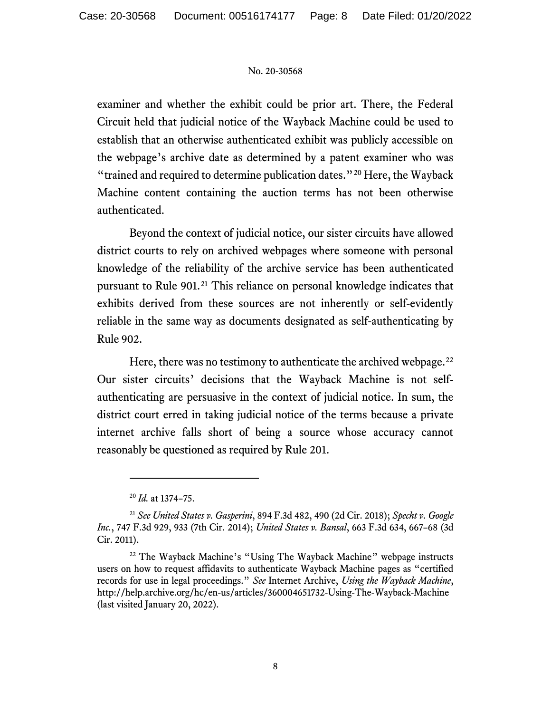examiner and whether the exhibit could be prior art. There, the Federal Circuit held that judicial notice of the Wayback Machine could be used to establish that an otherwise authenticated exhibit was publicly accessible on the webpage's archive date as determined by a patent examiner who was "trained and required to determine publication dates."[20](#page-7-0) Here, the Wayback Machine content containing the auction terms has not been otherwise authenticated.

Beyond the context of judicial notice, our sister circuits have allowed district courts to rely on archived webpages where someone with personal knowledge of the reliability of the archive service has been authenticated pursuant to Rule 901.<sup>[21](#page-7-1)</sup> This reliance on personal knowledge indicates that exhibits derived from these sources are not inherently or self-evidently reliable in the same way as documents designated as self-authenticating by Rule 902.

Here, there was no testimony to authenticate the archived webpage. $^{22}$  $^{22}$  $^{22}$ Our sister circuits' decisions that the Wayback Machine is not selfauthenticating are persuasive in the context of judicial notice. In sum, the district court erred in taking judicial notice of the terms because a private internet archive falls short of being a source whose accuracy cannot reasonably be questioned as required by Rule 201.

<sup>20</sup> *Id.* at 1374–75.

<span id="page-7-1"></span><span id="page-7-0"></span><sup>21</sup> *See United States v. Gasperini*, 894 F.3d 482, 490 (2d Cir. 2018); *Specht v. Google Inc.*, 747 F.3d 929, 933 (7th Cir. 2014); *United States v. Bansal*, 663 F.3d 634, 667–68 (3d Cir. 2011).

<span id="page-7-2"></span><sup>&</sup>lt;sup>22</sup> The Wayback Machine's "Using The Wayback Machine" webpage instructs users on how to request affidavits to authenticate Wayback Machine pages as "certified records for use in legal proceedings." *See* Internet Archive, *Using the Wayback Machine*, http://help.archive.org/hc/en-us/articles/360004651732-Using-The-Wayback-Machine (last visited January 20, 2022).